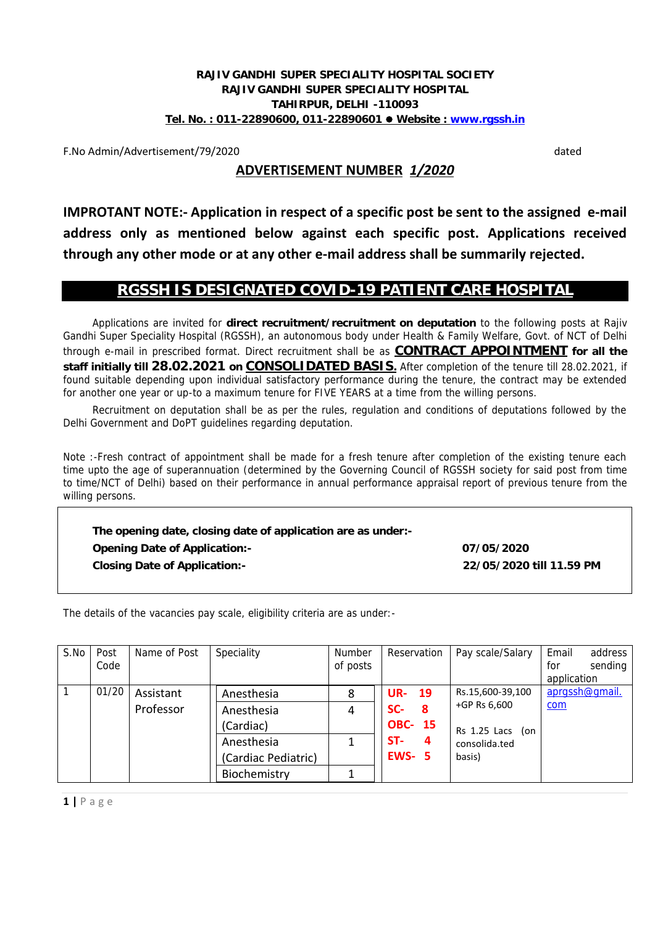#### **RAJIV GANDHI SUPER SPECIALITY HOSPITAL SOCIETY RAJIV GANDHI SUPER SPECIALITY HOSPITAL TAHIRPUR, DELHI -110093 Tel. No. : 011-22890600, 011-22890601 Website : www.rgssh.in**

F.No Admin/Advertisement/79/2020 dated

## **ADVERTISEMENT NUMBER** *1/2020*

**IMPROTANT NOTE:- Application in respect of a specific post be sent to the assigned e-mail address only as mentioned below against each specific post. Applications received through any other mode or at any other e-mail address shall be summarily rejected.**

### **RGSSH IS DESIGNATED COVID-19 PATIENT CARE HOSPITAL**

Applications are invited for **direct recruitment/recruitment on deputation** to the following posts at Rajiv Gandhi Super Speciality Hospital (RGSSH), an autonomous body under Health & Family Welfare, Govt. of NCT of Delhi through e-mail in prescribed format. Direct recruitment shall be as **CONTRACT APPOINTMENT for all the staff initially till 28.02.2021 on CONSOLIDATED BASIS.** After completion of the tenure till 28.02.2021, if found suitable depending upon individual satisfactory performance during the tenure, the contract may be extended for another one year or up-to a maximum tenure for FIVE YEARS at a time from the willing persons.

Recruitment on deputation shall be as per the rules, regulation and conditions of deputations followed by the Delhi Government and DoPT guidelines regarding deputation.

Note :-Fresh contract of appointment shall be made for a fresh tenure after completion of the existing tenure each time upto the age of superannuation (determined by the Governing Council of RGSSH society for said post from time to time/NCT of Delhi) based on their performance in annual performance appraisal report of previous tenure from the willing persons.

**The opening date, closing date of application are as under:- Opening Date of Application:- 07/05/2020 Closing Date of Application:- 22/05/2020 till 11.59 PM**

The details of the vacancies pay scale, eligibility criteria are as under:-

| S.No           | Post<br>Code       | Name of Post | Speciality          | Number<br>of posts | Reservation    | Pay scale/Salary   | Email<br>address<br>for<br>sending<br>application |
|----------------|--------------------|--------------|---------------------|--------------------|----------------|--------------------|---------------------------------------------------|
| $\overline{1}$ | 01/20              | Assistant    | Anesthesia          | 8                  | <b>UR-19</b>   | Rs.15,600-39,100   | aprgssh@gmail.                                    |
|                |                    | Professor    | Anesthesia          | 4                  | SC-<br>-8      | +GP Rs 6,600       | com                                               |
|                |                    |              | (Cardiac)           |                    | <b>OBC- 15</b> | $Rs$ 1.25 Lacs (on |                                                   |
|                |                    |              | Anesthesia          | 1                  | ST-<br>4       | consolida.ted      |                                                   |
|                |                    |              | (Cardiac Pediatric) |                    | <b>EWS- 5</b>  | basis)             |                                                   |
|                |                    |              | Biochemistry        |                    |                |                    |                                                   |
|                | $1   P \text{age}$ |              |                     |                    |                |                    |                                                   |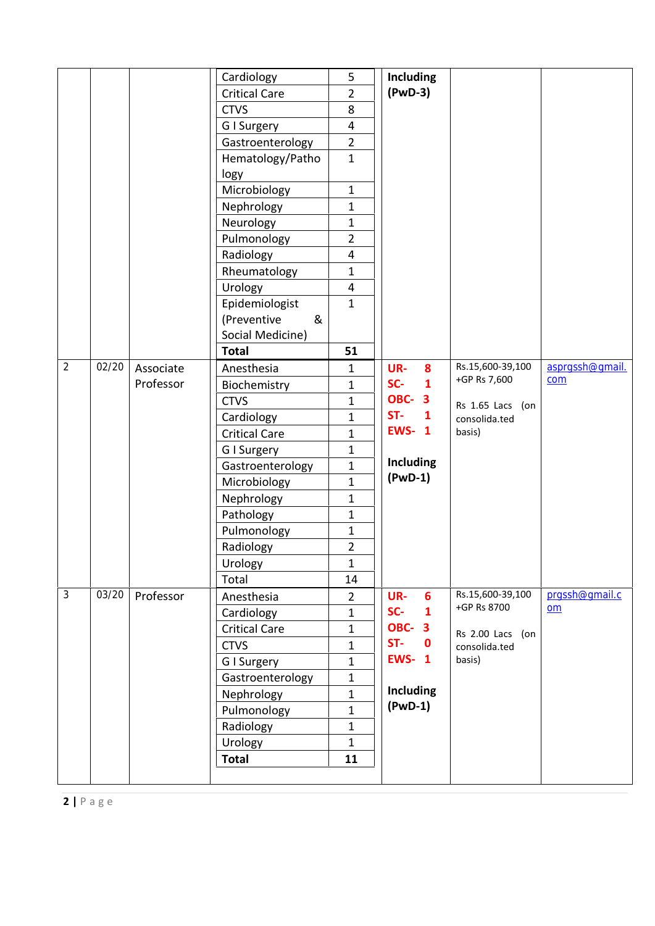|                    |           | Cardiology           | 5                       | <b>Including</b>      |                  |                 |
|--------------------|-----------|----------------------|-------------------------|-----------------------|------------------|-----------------|
|                    |           | <b>Critical Care</b> | $\overline{2}$          | $(PwD-3)$             |                  |                 |
|                    |           | <b>CTVS</b>          | 8                       |                       |                  |                 |
|                    |           | G I Surgery          | $\overline{4}$          |                       |                  |                 |
|                    |           | Gastroenterology     | $\overline{2}$          |                       |                  |                 |
|                    |           | Hematology/Patho     | $\mathbf{1}$            |                       |                  |                 |
|                    |           | logy                 |                         |                       |                  |                 |
|                    |           | Microbiology         | $\mathbf{1}$            |                       |                  |                 |
|                    |           | Nephrology           | $\mathbf{1}$            |                       |                  |                 |
|                    |           | Neurology            | $\mathbf{1}$            |                       |                  |                 |
|                    |           | Pulmonology          | $\overline{2}$          |                       |                  |                 |
|                    |           | Radiology            | $\overline{\mathbf{4}}$ |                       |                  |                 |
|                    |           | Rheumatology         | $\mathbf{1}$            |                       |                  |                 |
|                    |           | Urology              | $\overline{4}$          |                       |                  |                 |
|                    |           | Epidemiologist       | $\mathbf{1}$            |                       |                  |                 |
|                    |           | (Preventive<br>&     |                         |                       |                  |                 |
|                    |           | Social Medicine)     |                         |                       |                  |                 |
|                    |           | <b>Total</b>         | 51                      |                       |                  |                 |
| 02/20              | Associate | Anesthesia           | $\mathbf{1}$            | UR-<br>8              | Rs.15,600-39,100 | asprgssh@gmail. |
|                    | Professor | Biochemistry         | $\mathbf{1}$            | SC-<br>$\mathbf{1}$   | +GP Rs 7,600     | com             |
|                    |           | <b>CTVS</b>          | $\mathbf{1}$            | <b>OBC-3</b>          | Rs 1.65 Lacs (on |                 |
|                    |           | Cardiology           | $\mathbf{1}$            | ST-<br>$\mathbf{1}$   | consolida.ted    |                 |
|                    |           | <b>Critical Care</b> | $\mathbf{1}$            | <b>EWS-1</b>          | basis)           |                 |
|                    |           | G I Surgery          | $\mathbf{1}$            |                       |                  |                 |
|                    |           | Gastroenterology     | $\mathbf{1}$            | <b>Including</b>      |                  |                 |
|                    |           | Microbiology         | $\mathbf{1}$            | $(PWD-1)$             |                  |                 |
|                    |           | Nephrology           | $\mathbf{1}$            |                       |                  |                 |
|                    |           | Pathology            | $\mathbf{1}$            |                       |                  |                 |
|                    |           | Pulmonology          | $\mathbf{1}$            |                       |                  |                 |
|                    |           | Radiology            | $\overline{2}$          |                       |                  |                 |
|                    |           | Urology              | $\mathbf{1}$            |                       |                  |                 |
|                    |           | Total                | 14                      |                       |                  |                 |
| 03/20              | Professor | Anesthesia           | $\overline{2}$          | UR-<br>$6\phantom{1}$ | Rs.15,600-39,100 | prqssh@qmail.c  |
|                    |           | Cardiology           | $\mathbf{1}$            | SC-<br>$\mathbf{1}$   | +GP Rs 8700      | om              |
|                    |           | <b>Critical Care</b> | $\mathbf{1}$            | <b>OBC-3</b>          | Rs 2.00 Lacs (on |                 |
|                    |           | <b>CTVS</b>          | $\mathbf{1}$            | $ST-$<br>$\mathbf 0$  | consolida.ted    |                 |
|                    |           | G I Surgery          | 1                       | <b>EWS-1</b>          | basis)           |                 |
|                    |           | Gastroenterology     | $\mathbf{1}$            |                       |                  |                 |
|                    |           | Nephrology           | $\mathbf{1}$            | <b>Including</b>      |                  |                 |
|                    |           | Pulmonology          | $\mathbf{1}$            | $(PwD-1)$             |                  |                 |
|                    |           | Radiology            | $\mathbf{1}$            |                       |                  |                 |
|                    |           | Urology              | $\mathbf{1}$            |                       |                  |                 |
|                    |           | <b>Total</b>         | 11                      |                       |                  |                 |
|                    |           |                      |                         |                       |                  |                 |
|                    |           |                      |                         |                       |                  |                 |
| $2   P \text{age}$ |           |                      |                         |                       |                  |                 |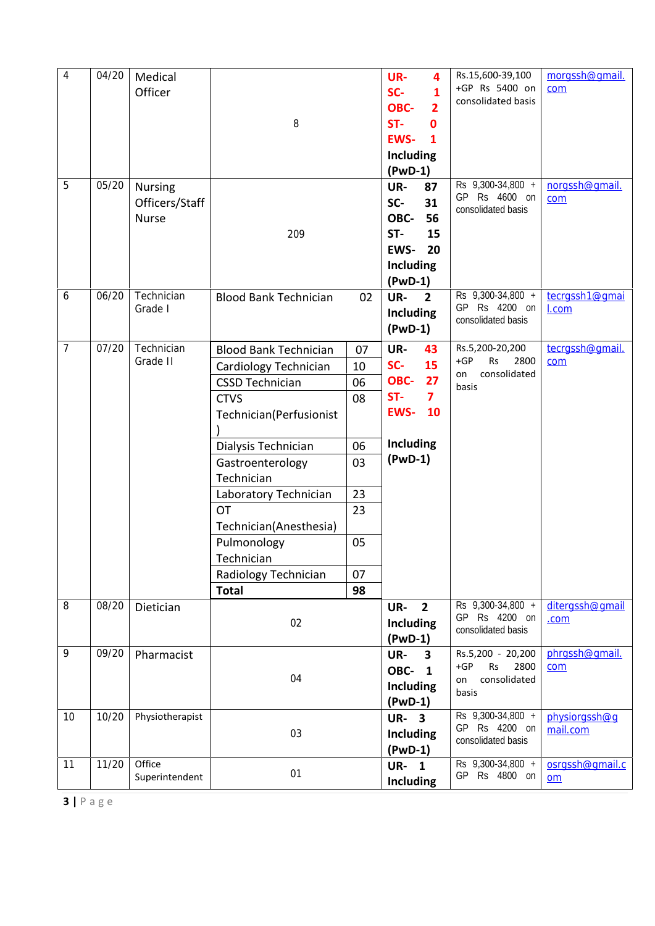| $\overline{4}$     | 04/20 | Medical<br>Officer                               | 8                                                                                                                                                                                                                                                                                                                       |                                                                | UR-<br>4<br>SC-<br>1<br>OBC-<br>$\overline{2}$<br>ST-<br>$\mathbf{0}$<br><b>EWS-</b><br>1<br>Including<br>$(PwD-1)$ | Rs.15,600-39,100<br>+GP Rs 5400 on<br>consolidated basis                       | morgssh@gmail.<br>com     |
|--------------------|-------|--------------------------------------------------|-------------------------------------------------------------------------------------------------------------------------------------------------------------------------------------------------------------------------------------------------------------------------------------------------------------------------|----------------------------------------------------------------|---------------------------------------------------------------------------------------------------------------------|--------------------------------------------------------------------------------|---------------------------|
| 5                  | 05/20 | <b>Nursing</b><br>Officers/Staff<br><b>Nurse</b> | 209                                                                                                                                                                                                                                                                                                                     |                                                                | UR-<br>87<br>SC-<br>31<br>OBC-<br>56<br>ST-<br>15<br><b>EWS-</b><br>20<br><b>Including</b><br>$(PwD-1)$             | Rs 9,300-34,800 +<br>GP Rs 4600 on<br>consolidated basis                       | norgssh@gmail.<br>com     |
| 6                  | 06/20 | Technician<br>Grade I                            | <b>Blood Bank Technician</b>                                                                                                                                                                                                                                                                                            | 02                                                             | UR-<br>$\overline{2}$<br><b>Including</b><br>$(PWD-1)$                                                              | Rs 9,300-34,800 +<br>GP Rs 4200 on<br>consolidated basis                       | tecrgssh1@gmai<br>I.com   |
| $\overline{7}$     | 07/20 | Technician<br>Grade II                           | <b>Blood Bank Technician</b><br>Cardiology Technician<br><b>CSSD Technician</b><br><b>CTVS</b><br>Technician(Perfusionist<br>Dialysis Technician<br>Gastroenterology<br>Technician<br>Laboratory Technician<br><b>OT</b><br>Technician(Anesthesia)<br>Pulmonology<br>Technician<br>Radiology Technician<br><b>Total</b> | 07<br>10<br>06<br>08<br>06<br>03<br>23<br>23<br>05<br>07<br>98 | UR-<br>43<br>SC-<br>15<br>OBC-<br>27<br>$\overline{7}$<br>ST-<br><b>EWS-</b><br>10<br><b>Including</b><br>$(PwD-1)$ | Rs.5,200-20,200<br>$+GP$<br><b>Rs</b><br>2800<br>consolidated<br>on<br>basis   | tecrgssh@gmail.<br>com    |
| 8                  | 08/20 | Dietician                                        | 02                                                                                                                                                                                                                                                                                                                      |                                                                | UR-<br>$\overline{2}$<br><b>Including</b><br>$(PwD-1)$                                                              | Rs 9,300-34,800 +<br>GP Rs 4200 on<br>consolidated basis                       | ditergssh@gmail<br>.com   |
| 9                  | 09/20 | Pharmacist                                       | 04                                                                                                                                                                                                                                                                                                                      |                                                                | UR-<br>3<br><b>OBC- 1</b><br>Including<br>$(PwD-1)$                                                                 | Rs.5,200 - 20,200<br>$+GP$<br><b>Rs</b><br>2800<br>consolidated<br>on<br>basis | phrqssh@qmail.<br>com     |
| 10                 | 10/20 | Physiotherapist                                  | 03                                                                                                                                                                                                                                                                                                                      |                                                                | <b>UR-3</b><br><b>Including</b><br>$(PwD-1)$                                                                        | Rs 9,300-34,800 +<br>GP Rs 4200 on<br>consolidated basis                       | physiorgssh@q<br>mail.com |
| 11                 | 11/20 | Office<br>Superintendent                         | 01                                                                                                                                                                                                                                                                                                                      |                                                                | <b>UR-1</b><br><b>Including</b>                                                                                     | Rs 9,300-34,800 +<br>GP Rs 4800 on                                             | osrgssh@gmail.c<br>$om$   |
| $3   P \text{age}$ |       |                                                  |                                                                                                                                                                                                                                                                                                                         |                                                                |                                                                                                                     |                                                                                |                           |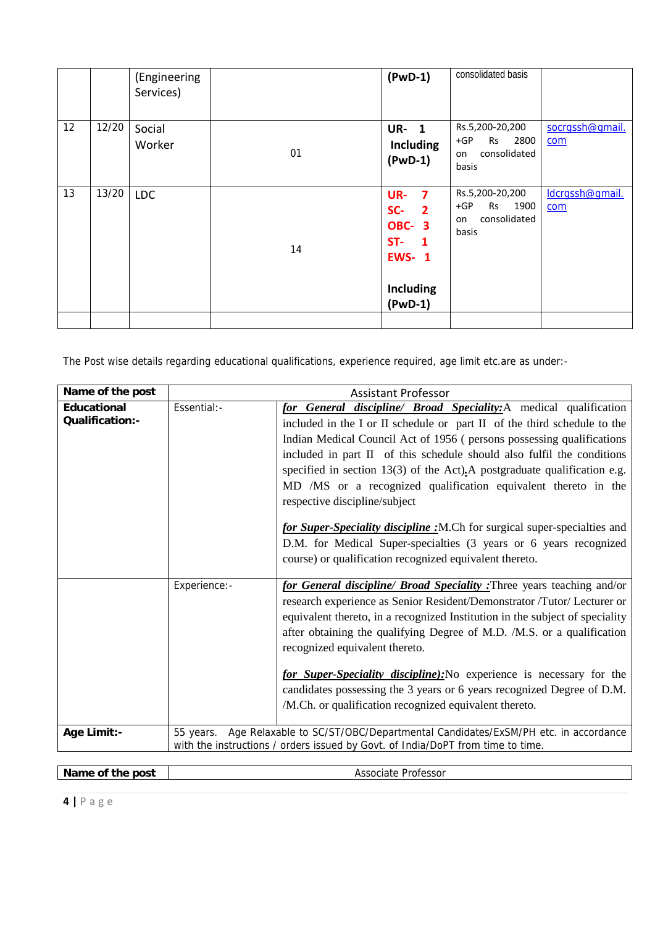|    |       | (Engineering<br>Services) |    | $(PwD-1)$                                                                                                                     | consolidated basis                                                    |                        |
|----|-------|---------------------------|----|-------------------------------------------------------------------------------------------------------------------------------|-----------------------------------------------------------------------|------------------------|
| 12 | 12/20 | Social<br>Worker          | 01 | <b>UR-1</b><br><b>Including</b><br>$(PWD-1)$                                                                                  | Rs.5,200-20,200<br>$+GP$<br>2800<br>Rs<br>consolidated<br>on<br>basis | socrassh@qmail.<br>com |
| 13 | 13/20 | <b>LDC</b>                | 14 | UR-<br>$\overline{7}$<br>SC-<br>$\overline{2}$<br><b>OBC-3</b><br>$ST-$<br>$\blacksquare$<br><b>EWS-1</b><br><b>Including</b> | Rs.5,200-20,200<br>$+GP$<br>1900<br>Rs<br>consolidated<br>on<br>basis | ldcrgssh@gmail.<br>com |
|    |       |                           |    | $(PwD-1)$                                                                                                                     |                                                                       |                        |

The Post wise details regarding educational qualifications, experience required, age limit etc.are as under:-

|              | <b>Assistant Professor</b>                                                                                                                                                                                                                                                                                                                                                                                                                                                                                                                                                                                                                                                                      |
|--------------|-------------------------------------------------------------------------------------------------------------------------------------------------------------------------------------------------------------------------------------------------------------------------------------------------------------------------------------------------------------------------------------------------------------------------------------------------------------------------------------------------------------------------------------------------------------------------------------------------------------------------------------------------------------------------------------------------|
| Essential:-  | for General discipline/ Broad Speciality: A medical qualification<br>included in the I or II schedule or part II of the third schedule to the<br>Indian Medical Council Act of 1956 (persons possessing qualifications<br>included in part II of this schedule should also fulfil the conditions<br>specified in section $13(3)$ of the Act). A postgraduate qualification e.g.<br>MD /MS or a recognized qualification equivalent thereto in the<br>respective discipline/subject<br>for Super-Speciality discipline : M.Ch for surgical super-specialties and<br>D.M. for Medical Super-specialties (3 years or 6 years recognized<br>course) or qualification recognized equivalent thereto. |
| Experience:- | for General discipline/ Broad Speciality : Three years teaching and/or<br>research experience as Senior Resident/Demonstrator /Tutor/ Lecturer or<br>equivalent thereto, in a recognized Institution in the subject of speciality<br>after obtaining the qualifying Degree of M.D. /M.S. or a qualification<br>recognized equivalent thereto.<br>for Super-Speciality discipline): No experience is necessary for the<br>candidates possessing the 3 years or 6 years recognized Degree of D.M.<br>/M.Ch. or qualification recognized equivalent thereto.                                                                                                                                       |
| 55 years.    | Age Relaxable to SC/ST/OBC/Departmental Candidates/ExSM/PH etc. in accordance<br>with the instructions / orders issued by Govt. of India/DoPT from time to time.                                                                                                                                                                                                                                                                                                                                                                                                                                                                                                                                |
|              |                                                                                                                                                                                                                                                                                                                                                                                                                                                                                                                                                                                                                                                                                                 |
|              |                                                                                                                                                                                                                                                                                                                                                                                                                                                                                                                                                                                                                                                                                                 |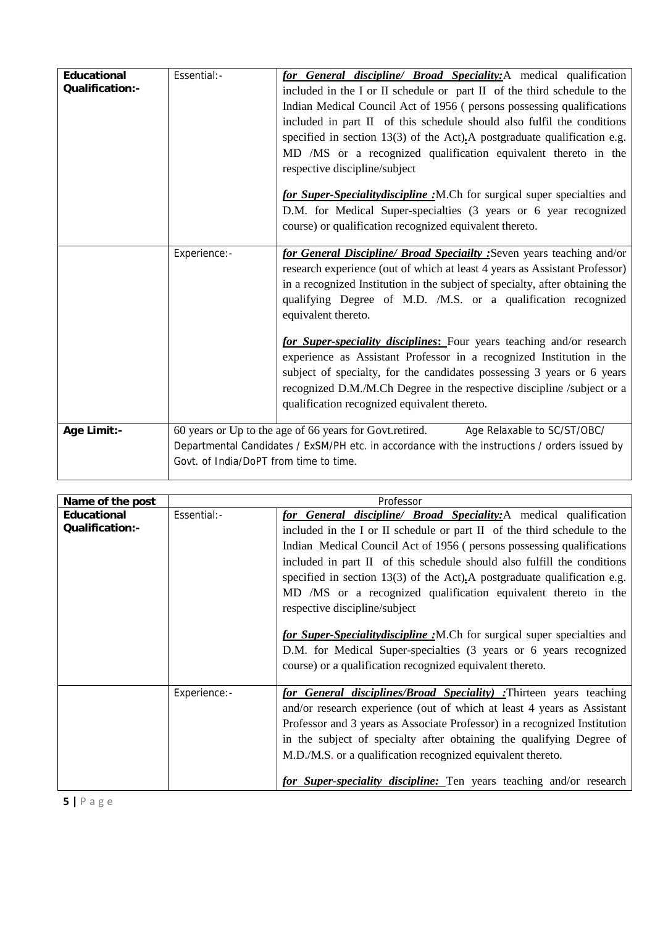| Educational     | Essential:-                            | for General discipline/ Broad Speciality: A medical qualification                                                                                                                                                                                                                                                                                                                                             |
|-----------------|----------------------------------------|---------------------------------------------------------------------------------------------------------------------------------------------------------------------------------------------------------------------------------------------------------------------------------------------------------------------------------------------------------------------------------------------------------------|
| Qualification:- |                                        | included in the I or II schedule or part II of the third schedule to the<br>Indian Medical Council Act of 1956 (persons possessing qualifications<br>included in part II of this schedule should also fulfil the conditions<br>specified in section $13(3)$ of the Act). A postgraduate qualification e.g.<br>MD /MS or a recognized qualification equivalent thereto in the<br>respective discipline/subject |
|                 |                                        | for Super-Speciality discipline : M.Ch for surgical super specialties and<br>D.M. for Medical Super-specialties (3 years or 6 year recognized<br>course) or qualification recognized equivalent thereto.                                                                                                                                                                                                      |
|                 | Experience:-                           | for General Discipline/ Broad Speciailty : Seven years teaching and/or<br>research experience (out of which at least 4 years as Assistant Professor)<br>in a recognized Institution in the subject of specialty, after obtaining the<br>qualifying Degree of M.D. /M.S. or a qualification recognized<br>equivalent thereto.                                                                                  |
|                 |                                        | for Super-speciality disciplines: Four years teaching and/or research<br>experience as Assistant Professor in a recognized Institution in the<br>subject of specialty, for the candidates possessing 3 years or 6 years<br>recognized D.M./M.Ch Degree in the respective discipline /subject or a<br>qualification recognized equivalent thereto.                                                             |
| Age Limit:-     | Govt. of India/DoPT from time to time. | 60 years or Up to the age of 66 years for Govt.retired.<br>Age Relaxable to SC/ST/OBC/<br>Departmental Candidates / ExSM/PH etc. in accordance with the instructions / orders issued by                                                                                                                                                                                                                       |

| Name of the post |              | Professor                                                                 |
|------------------|--------------|---------------------------------------------------------------------------|
| Educational      | Essential:-  | for General discipline/ Broad Speciality: A medical qualification         |
| Qualification:-  |              | included in the I or II schedule or part II of the third schedule to the  |
|                  |              | Indian Medical Council Act of 1956 (persons possessing qualifications     |
|                  |              | included in part II of this schedule should also fulfill the conditions   |
|                  |              | specified in section 13(3) of the Act). A postgraduate qualification e.g. |
|                  |              | MD /MS or a recognized qualification equivalent thereto in the            |
|                  |              | respective discipline/subject                                             |
|                  |              |                                                                           |
|                  |              | for Super-Speciality discipline : M.Ch for surgical super specialties and |
|                  |              | D.M. for Medical Super-specialties (3 years or 6 years recognized         |
|                  |              | course) or a qualification recognized equivalent thereto.                 |
|                  | Experience:- | for General disciplines/Broad Speciality) :Thirteen years teaching        |
|                  |              | and/or research experience (out of which at least 4 years as Assistant    |
|                  |              | Professor and 3 years as Associate Professor) in a recognized Institution |
|                  |              | in the subject of specialty after obtaining the qualifying Degree of      |
|                  |              | M.D./M.S. or a qualification recognized equivalent thereto.               |
|                  |              |                                                                           |
|                  |              | for Super-speciality discipline: Ten years teaching and/or research       |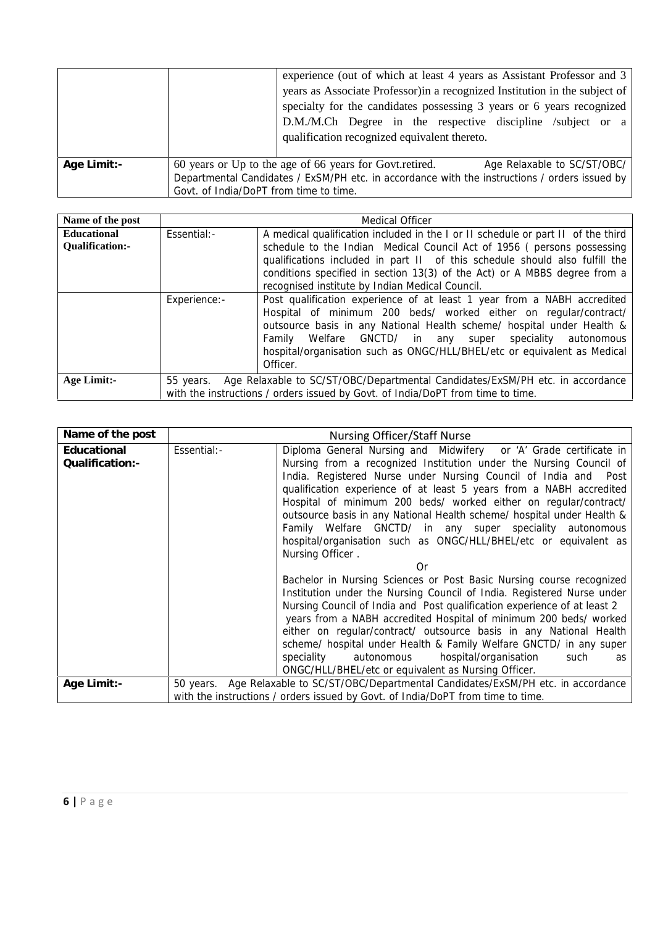|             | experience (out of which at least 4 years as Assistant Professor and 3<br>years as Associate Professor) in a recognized Institution in the subject of<br>specialty for the candidates possessing 3 years or 6 years recognized<br>D.M./M.Ch Degree in the respective discipline /subject or a<br>qualification recognized equivalent thereto. |  |
|-------------|-----------------------------------------------------------------------------------------------------------------------------------------------------------------------------------------------------------------------------------------------------------------------------------------------------------------------------------------------|--|
| Age Limit:- | 60 years or Up to the age of 66 years for Govt. retired.<br>Age Relaxable to SC/ST/OBC/<br>Departmental Candidates / ExSM/PH etc. in accordance with the instructions / orders issued by<br>Govt. of India/DoPT from time to time.                                                                                                            |  |

| Name of the post               |              | <b>Medical Officer</b>                                                                                                                                                                                                                                                                                                                                                    |
|--------------------------------|--------------|---------------------------------------------------------------------------------------------------------------------------------------------------------------------------------------------------------------------------------------------------------------------------------------------------------------------------------------------------------------------------|
| Educational<br>Qualification:- | Essential:-  | A medical qualification included in the I or II schedule or part II of the third<br>schedule to the Indian Medical Council Act of 1956 (persons possessing<br>qualifications included in part II of this schedule should also fulfill the<br>conditions specified in section 13(3) of the Act) or A MBBS degree from a<br>recognised institute by Indian Medical Council. |
|                                | Experience:- | Post qualification experience of at least 1 year from a NABH accredited<br>Hospital of minimum 200 beds/ worked either on regular/contract/<br>outsource basis in any National Health scheme/ hospital under Health &<br>Family Welfare GNCTD/ in any super speciality autonomous<br>hospital/organisation such as ONGC/HLL/BHEL/etc or equivalent as Medical<br>Officer. |
| Age Limit:-                    | 55 years.    | Age Relaxable to SC/ST/OBC/Departmental Candidates/ExSM/PH etc. in accordance<br>with the instructions / orders issued by Govt. of India/DoPT from time to time.                                                                                                                                                                                                          |

| Name of the post                              |             | Nursing Officer/Staff Nurse                                                                                                                                                                                                                                                                                                                                                                                                                                                                                                                                                                                                                                                                                                                                                                                                                                                                                                                                                                                                                                                                                                                                                                                                                                   |
|-----------------------------------------------|-------------|---------------------------------------------------------------------------------------------------------------------------------------------------------------------------------------------------------------------------------------------------------------------------------------------------------------------------------------------------------------------------------------------------------------------------------------------------------------------------------------------------------------------------------------------------------------------------------------------------------------------------------------------------------------------------------------------------------------------------------------------------------------------------------------------------------------------------------------------------------------------------------------------------------------------------------------------------------------------------------------------------------------------------------------------------------------------------------------------------------------------------------------------------------------------------------------------------------------------------------------------------------------|
| Educational<br>Qualification:-<br>Age Limit:- | Essential:- | Diploma General Nursing and Midwifery or 'A' Grade certificate in<br>Nursing from a recognized Institution under the Nursing Council of<br>India. Registered Nurse under Nursing Council of India and Post<br>qualification experience of at least 5 years from a NABH accredited<br>Hospital of minimum 200 beds/ worked either on regular/contract/<br>outsource basis in any National Health scheme/ hospital under Health &<br>Family Welfare GNCTD/ in any super speciality autonomous<br>hospital/organisation such as ONGC/HLL/BHEL/etc or equivalent as<br>Nursing Officer.<br>Or<br>Bachelor in Nursing Sciences or Post Basic Nursing course recognized<br>Institution under the Nursing Council of India. Registered Nurse under<br>Nursing Council of India and Post qualification experience of at least 2<br>years from a NABH accredited Hospital of minimum 200 beds/ worked<br>either on regular/contract/ outsource basis in any National Health<br>scheme/ hospital under Health & Family Welfare GNCTD/ in any super<br>hospital/organisation<br>speciality<br>autonomous<br>such<br>as<br>ONGC/HLL/BHEL/etc or equivalent as Nursing Officer.<br>50 years. Age Relaxable to SC/ST/OBC/Departmental Candidates/ExSM/PH etc. in accordance |
|                                               |             | with the instructions / orders issued by Govt. of India/DoPT from time to time.                                                                                                                                                                                                                                                                                                                                                                                                                                                                                                                                                                                                                                                                                                                                                                                                                                                                                                                                                                                                                                                                                                                                                                               |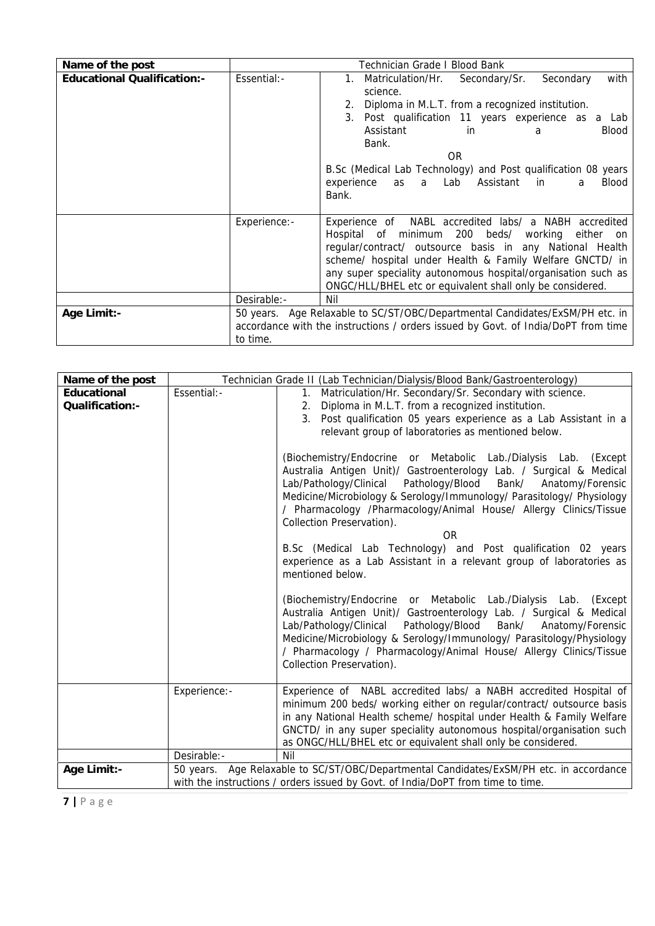| Name of the post            |              | Technician Grade I Blood Bank                                                                                                                                                                                                                                                                                                                                                                     |
|-----------------------------|--------------|---------------------------------------------------------------------------------------------------------------------------------------------------------------------------------------------------------------------------------------------------------------------------------------------------------------------------------------------------------------------------------------------------|
| Educational Qualification:- | Essential:-  | Matriculation/Hr.<br>Secondary/Sr.<br>Secondary<br>with<br>$1_{\cdot}$<br>science.<br>Diploma in M.L.T. from a recognized institution.<br>3. Post qualification 11 years experience as a Lab<br>Assistant<br><b>Blood</b><br>in.<br>a<br>Bank.<br>OR.<br>B.Sc (Medical Lab Technology) and Post qualification 08 years<br>Assistant<br>experience<br>as a Lab<br>in<br><b>Blood</b><br>a<br>Bank. |
|                             | Experience:- | Experience of NABL accredited labs/ a NABH accredited<br>Hospital of minimum 200 beds/ working either on<br>regular/contract/ outsource basis in any National Health<br>scheme/ hospital under Health & Family Welfare GNCTD/ in<br>any super speciality autonomous hospital/organisation such as<br>ONGC/HLL/BHEL etc or equivalent shall only be considered.                                    |
|                             | Desirable:-  | Nil                                                                                                                                                                                                                                                                                                                                                                                               |
| Age Limit:-                 | to time.     | 50 years. Age Relaxable to SC/ST/OBC/Departmental Candidates/ExSM/PH etc. in<br>accordance with the instructions / orders issued by Govt. of India/DoPT from time                                                                                                                                                                                                                                 |

| Name of the post    |              | Technician Grade II (Lab Technician/Dialysis/Blood Bank/Gastroenterology)                                                                 |
|---------------------|--------------|-------------------------------------------------------------------------------------------------------------------------------------------|
| Educational         | Essential:-  | 1. Matriculation/Hr. Secondary/Sr. Secondary with science.                                                                                |
| Qualification:-     |              | 2. Diploma in M.L.T. from a recognized institution.                                                                                       |
|                     |              | 3. Post qualification 05 years experience as a Lab Assistant in a                                                                         |
|                     |              | relevant group of laboratories as mentioned below.                                                                                        |
|                     |              |                                                                                                                                           |
|                     |              | (Biochemistry/Endocrine or Metabolic Lab./Dialysis Lab.<br>(Except<br>Australia Antigen Unit)/ Gastroenterology Lab. / Surgical & Medical |
|                     |              | Pathology/Blood<br>Lab/Pathology/Clinical<br>Bank/<br>Anatomy/Forensic                                                                    |
|                     |              | Medicine/Microbiology & Serology/Immunology/ Parasitology/ Physiology                                                                     |
|                     |              | / Pharmacology /Pharmacology/Animal House/ Allergy Clinics/Tissue                                                                         |
|                     |              | Collection Preservation).                                                                                                                 |
|                     |              | <b>OR</b>                                                                                                                                 |
|                     |              | B.Sc (Medical Lab Technology) and Post qualification 02 years                                                                             |
|                     |              | experience as a Lab Assistant in a relevant group of laboratories as                                                                      |
|                     |              | mentioned below.                                                                                                                          |
|                     |              | (Biochemistry/Endocrine or Metabolic Lab./Dialysis Lab.<br>(Except)                                                                       |
|                     |              | Australia Antigen Unit)/ Gastroenterology Lab. / Surgical & Medical                                                                       |
|                     |              | Pathology/Blood<br>Lab/Pathology/Clinical<br>Bank/<br>Anatomy/Forensic                                                                    |
|                     |              | Medicine/Microbiology & Serology/Immunology/ Parasitology/Physiology                                                                      |
|                     |              | / Pharmacology / Pharmacology/Animal House/ Allergy Clinics/Tissue                                                                        |
|                     |              | Collection Preservation).                                                                                                                 |
|                     | Experience:- | Experience of NABL accredited labs/ a NABH accredited Hospital of                                                                         |
|                     |              | minimum 200 beds/ working either on regular/contract/ outsource basis                                                                     |
|                     |              | in any National Health scheme/ hospital under Health & Family Welfare                                                                     |
|                     |              | GNCTD/ in any super speciality autonomous hospital/organisation such                                                                      |
|                     |              | as ONGC/HLL/BHEL etc or equivalent shall only be considered.                                                                              |
|                     | Desirable:-  | Nil                                                                                                                                       |
| Age Limit:-         |              | 50 years. Age Relaxable to SC/ST/OBC/Departmental Candidates/ExSM/PH etc. in accordance                                                   |
|                     |              | with the instructions / orders issued by Govt. of India/DoPT from time to time.                                                           |
| $7   P \text{ age}$ |              |                                                                                                                                           |
|                     |              |                                                                                                                                           |
|                     |              |                                                                                                                                           |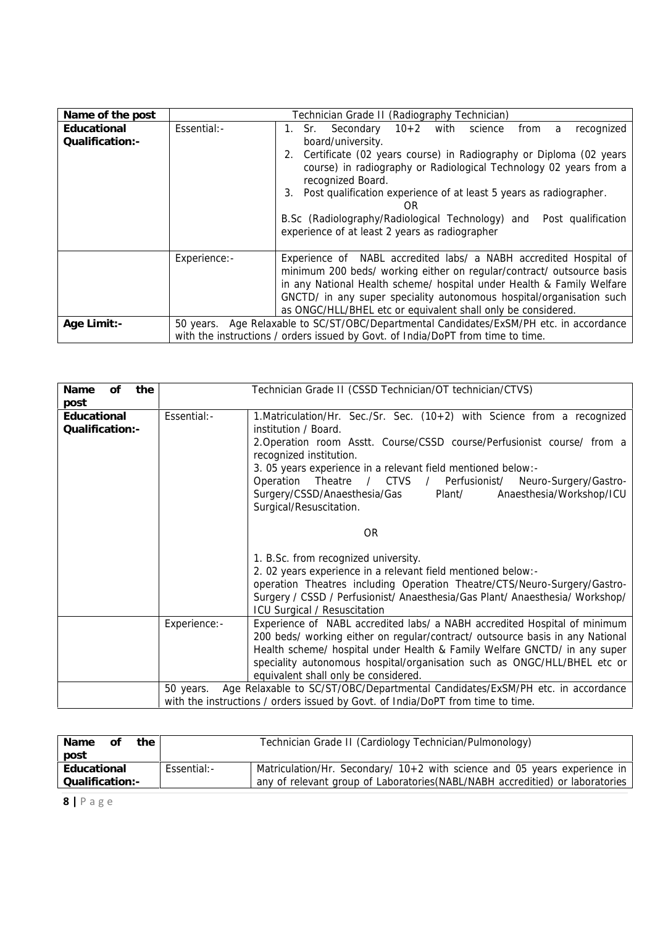| Name of the post                |              | Technician Grade II (Radiography Technician)                                                                                                                                                                                                                                                                                                                                                                                                                          |
|---------------------------------|--------------|-----------------------------------------------------------------------------------------------------------------------------------------------------------------------------------------------------------------------------------------------------------------------------------------------------------------------------------------------------------------------------------------------------------------------------------------------------------------------|
| Educational<br>Qualification: - | Essential:-  | Secondary 10+2 with science<br>recognized<br>from a<br>1. Sr. –<br>board/university.<br>Certificate (02 years course) in Radiography or Diploma (02 years<br>2.<br>course) in radiography or Radiological Technology 02 years from a<br>recognized Board.<br>Post qualification experience of at least 5 years as radiographer.<br>3.<br>OR.<br>B.Sc (Radiolography/Radiological Technology) and Post qualification<br>experience of at least 2 years as radiographer |
| Age Limit:-                     | Experience:- | Experience of NABL accredited labs/ a NABH accredited Hospital of<br>minimum 200 beds/ working either on regular/contract/ outsource basis<br>in any National Health scheme/ hospital under Health & Family Welfare<br>GNCTD/ in any super speciality autonomous hospital/organisation such<br>as ONGC/HLL/BHEL etc or equivalent shall only be considered.<br>50 years. Age Relaxable to SC/ST/OBC/Departmental Candidates/ExSM/PH etc. in accordance                |
|                                 |              | with the instructions / orders issued by Govt. of India/DoPT from time to time.                                                                                                                                                                                                                                                                                                                                                                                       |

| 0f<br>the<br>Name                      |              | Technician Grade II (CSSD Technician/OT technician/CTVS)                                                                                                                                                                                                                                                                                                                                                                                                                                                                                                                                                                                |
|----------------------------------------|--------------|-----------------------------------------------------------------------------------------------------------------------------------------------------------------------------------------------------------------------------------------------------------------------------------------------------------------------------------------------------------------------------------------------------------------------------------------------------------------------------------------------------------------------------------------------------------------------------------------------------------------------------------------|
| post<br>Educational<br>Qualification:- | Essential:-  | 1. Matriculation/Hr. Sec./Sr. Sec. (10+2) with Science from a recognized<br>institution / Board.<br>2. Operation room Asstt. Course/CSSD course/Perfusionist course/ from a<br>recognized institution.<br>3. 05 years experience in a relevant field mentioned below:-<br>Operation Theatre / CTVS / Perfusionist/ Neuro-Surgery/Gastro-<br>Anaesthesia/Workshop/ICU<br>Surgery/CSSD/Anaesthesia/Gas Plant/<br>Surgical/Resuscitation.<br><b>OR</b><br>1. B.Sc. from recognized university.<br>2. 02 years experience in a relevant field mentioned below:-<br>operation Theatres including Operation Theatre/CTS/Neuro-Surgery/Gastro- |
|                                        | Experience:- | Surgery / CSSD / Perfusionist/ Anaesthesia/Gas Plant/ Anaesthesia/ Workshop/<br>ICU Surgical / Resuscitation<br>Experience of NABL accredited labs/ a NABH accredited Hospital of minimum                                                                                                                                                                                                                                                                                                                                                                                                                                               |
|                                        |              | 200 beds/ working either on regular/contract/ outsource basis in any National<br>Health scheme/ hospital under Health & Family Welfare GNCTD/ in any super<br>speciality autonomous hospital/organisation such as ONGC/HLL/BHEL etc or<br>equivalent shall only be considered.                                                                                                                                                                                                                                                                                                                                                          |
|                                        | 50 years.    | Age Relaxable to SC/ST/OBC/Departmental Candidates/ExSM/PH etc. in accordance<br>with the instructions / orders issued by Govt. of India/DoPT from time to time.                                                                                                                                                                                                                                                                                                                                                                                                                                                                        |

| the<br>Name<br>0Ť<br>post       |             | Technician Grade II (Cardiology Technician/Pulmonology)                                                                                                      |
|---------------------------------|-------------|--------------------------------------------------------------------------------------------------------------------------------------------------------------|
| Educational<br>Qualification: - | Essential:- | Matriculation/Hr. Secondary/ $10+2$ with science and 05 years experience in<br>any of relevant group of Laboratories (NABL/NABH accreditied) or laboratories |
| $8$   Page                      |             |                                                                                                                                                              |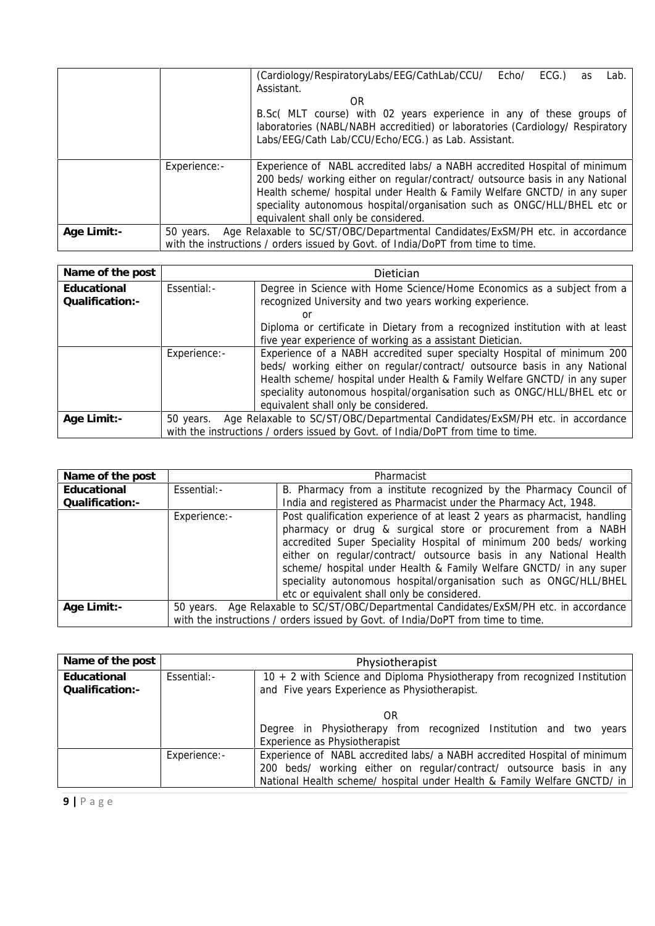|             |              | (Cardiology/RespiratoryLabs/EEG/CathLab/CCU/<br>ECG.<br>Echo/<br>Lab.<br>as<br>Assistant.                                                                                                                                                                                                                                                                   |
|-------------|--------------|-------------------------------------------------------------------------------------------------------------------------------------------------------------------------------------------------------------------------------------------------------------------------------------------------------------------------------------------------------------|
|             |              | OR.<br>B.Sc( MLT course) with 02 years experience in any of these groups of                                                                                                                                                                                                                                                                                 |
|             |              | laboratories (NABL/NABH accreditied) or laboratories (Cardiology/ Respiratory<br>Labs/EEG/Cath Lab/CCU/Echo/ECG.) as Lab. Assistant.                                                                                                                                                                                                                        |
|             | Experience:- | Experience of NABL accredited labs/ a NABH accredited Hospital of minimum<br>200 beds/ working either on regular/contract/ outsource basis in any National<br>Health scheme/ hospital under Health & Family Welfare GNCTD/ in any super<br>speciality autonomous hospital/organisation such as ONGC/HLL/BHEL etc or<br>equivalent shall only be considered. |
| Age Limit:- | 50 years.    | Age Relaxable to SC/ST/OBC/Departmental Candidates/ExSM/PH etc. in accordance<br>with the instructions / orders issued by Govt. of India/DoPT from time to time.                                                                                                                                                                                            |

| Name of the post               |              | Dietician                                                                                                                                                                                                                                                                                                                                             |
|--------------------------------|--------------|-------------------------------------------------------------------------------------------------------------------------------------------------------------------------------------------------------------------------------------------------------------------------------------------------------------------------------------------------------|
| Educational<br>Qualification:- | Essential:-  | Degree in Science with Home Science/Home Economics as a subject from a<br>recognized University and two years working experience.<br>or<br>Diploma or certificate in Dietary from a recognized institution with at least<br>five year experience of working as a assistant Dietician.                                                                 |
|                                | Experience:- | Experience of a NABH accredited super specialty Hospital of minimum 200<br>beds/ working either on regular/contract/ outsource basis in any National<br>Health scheme/ hospital under Health & Family Welfare GNCTD/ in any super<br>speciality autonomous hospital/organisation such as ONGC/HLL/BHEL etc or<br>equivalent shall only be considered. |
| Age Limit:-                    | 50 years.    | Age Relaxable to SC/ST/OBC/Departmental Candidates/ExSM/PH etc. in accordance<br>with the instructions / orders issued by Govt. of India/DoPT from time to time.                                                                                                                                                                                      |

| Name of the post |              | Pharmacist                                                                              |
|------------------|--------------|-----------------------------------------------------------------------------------------|
| Educational      | Essential:-  | B. Pharmacy from a institute recognized by the Pharmacy Council of                      |
| Qualification: - |              | India and registered as Pharmacist under the Pharmacy Act, 1948.                        |
|                  | Experience:- | Post qualification experience of at least 2 years as pharmacist, handling               |
|                  |              | pharmacy or drug & surgical store or procurement from a NABH                            |
|                  |              | accredited Super Speciality Hospital of minimum 200 beds/ working                       |
|                  |              | either on regular/contract/ outsource basis in any National Health                      |
|                  |              | scheme/ hospital under Health & Family Welfare GNCTD/ in any super                      |
|                  |              | speciality autonomous hospital/organisation such as ONGC/HLL/BHEL                       |
|                  |              | etc or equivalent shall only be considered.                                             |
| Age Limit:-      |              | 50 years. Age Relaxable to SC/ST/OBC/Departmental Candidates/ExSM/PH etc. in accordance |
|                  |              | with the instructions / orders issued by Govt. of India/DoPT from time to time.         |

| Name of the post                |              | Physiotherapist                                                                                                                                                                                                                                                |
|---------------------------------|--------------|----------------------------------------------------------------------------------------------------------------------------------------------------------------------------------------------------------------------------------------------------------------|
| Educational<br>Qualification: - | Essential:-  | 10 + 2 with Science and Diploma Physiotherapy from recognized Institution<br>and Five years Experience as Physiotherapist.                                                                                                                                     |
|                                 |              | OR.<br>Degree in Physiotherapy from recognized Institution and two years                                                                                                                                                                                       |
|                                 | Experience:- | Experience as Physiotherapist<br>Experience of NABL accredited labs/ a NABH accredited Hospital of minimum<br>200 beds/ working either on regular/contract/ outsource basis in any<br>National Health scheme/ hospital under Health & Family Welfare GNCTD/ in |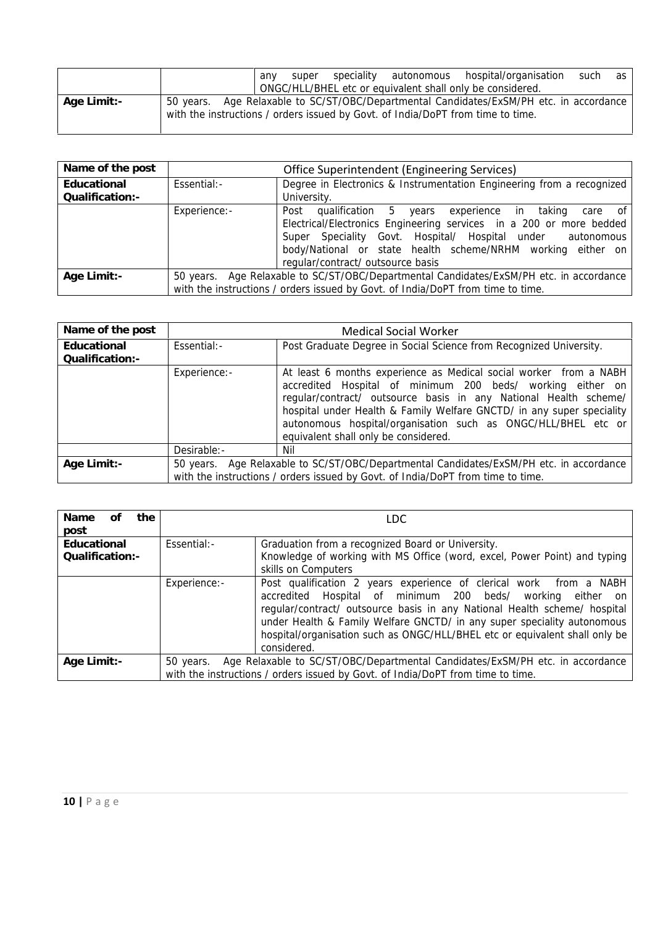|             |                                                                                 | any | super |  | speciality autonomous hospital/organisation<br>ONGC/HLL/BHEL etc or equivalent shall only be considered. | such | as |
|-------------|---------------------------------------------------------------------------------|-----|-------|--|----------------------------------------------------------------------------------------------------------|------|----|
| Age Limit:- | with the instructions / orders issued by Govt. of India/DoPT from time to time. |     |       |  | 50 years. Age Relaxable to SC/ST/OBC/Departmental Candidates/ExSM/PH etc. in accordance                  |      |    |

| Name of the post                |              | Office Superintendent (Engineering Services)                                                                                                                                                                                                                                                        |
|---------------------------------|--------------|-----------------------------------------------------------------------------------------------------------------------------------------------------------------------------------------------------------------------------------------------------------------------------------------------------|
| Educational<br>Qualification: - | Essential:-  | Degree in Electronics & Instrumentation Engineering from a recognized<br>University.                                                                                                                                                                                                                |
|                                 | Experience:- | Post<br>qualification 5 years experience in taking care of<br>Electrical/Electronics Engineering services in a 200 or more bedded<br>Super Speciality Govt. Hospital/ Hospital under autonomous<br>body/National or state health scheme/NRHM working either on<br>regular/contract/ outsource basis |
| Age Limit:-                     |              | 50 years. Age Relaxable to SC/ST/OBC/Departmental Candidates/ExSM/PH etc. in accordance<br>with the instructions / orders issued by Govt. of India/DoPT from time to time.                                                                                                                          |

| Name of the post               |              | <b>Medical Social Worker</b>                                                                                                                                                                                                                                                                                                                                                          |
|--------------------------------|--------------|---------------------------------------------------------------------------------------------------------------------------------------------------------------------------------------------------------------------------------------------------------------------------------------------------------------------------------------------------------------------------------------|
| Educational<br>Qualification:- | Essential:-  | Post Graduate Degree in Social Science from Recognized University.                                                                                                                                                                                                                                                                                                                    |
|                                | Experience:- | At least 6 months experience as Medical social worker from a NABH<br>accredited Hospital of minimum 200 beds/ working either on<br>regular/contract/ outsource basis in any National Health scheme/<br>hospital under Health & Family Welfare GNCTD/ in any super speciality<br>autonomous hospital/organisation such as ONGC/HLL/BHEL etc or<br>equivalent shall only be considered. |
|                                | Desirable:-  | Nil                                                                                                                                                                                                                                                                                                                                                                                   |
| Age Limit:-                    | 50 years.    | Age Relaxable to SC/ST/OBC/Departmental Candidates/ExSM/PH etc. in accordance<br>with the instructions / orders issued by Govt. of India/DoPT from time to time.                                                                                                                                                                                                                      |

| the<br>Name<br>of<br>post       |              | LDC.                                                                                                                                                                                                                                                                                                                                                                                   |
|---------------------------------|--------------|----------------------------------------------------------------------------------------------------------------------------------------------------------------------------------------------------------------------------------------------------------------------------------------------------------------------------------------------------------------------------------------|
| Educational<br>Qualification: - | Essential:-  | Graduation from a recognized Board or University.<br>Knowledge of working with MS Office (word, excel, Power Point) and typing<br>skills on Computers                                                                                                                                                                                                                                  |
|                                 | Experience:- | Post qualification 2 years experience of clerical work from a NABH<br>accredited Hospital of minimum 200 beds/ working either on<br>regular/contract/ outsource basis in any National Health scheme/ hospital<br>under Health & Family Welfare GNCTD/ in any super speciality autonomous<br>hospital/organisation such as ONGC/HLL/BHEL etc or equivalent shall only be<br>considered. |
| Age Limit:-                     | 50 years.    | Age Relaxable to SC/ST/OBC/Departmental Candidates/ExSM/PH etc. in accordance<br>with the instructions / orders issued by Govt. of India/DoPT from time to time.                                                                                                                                                                                                                       |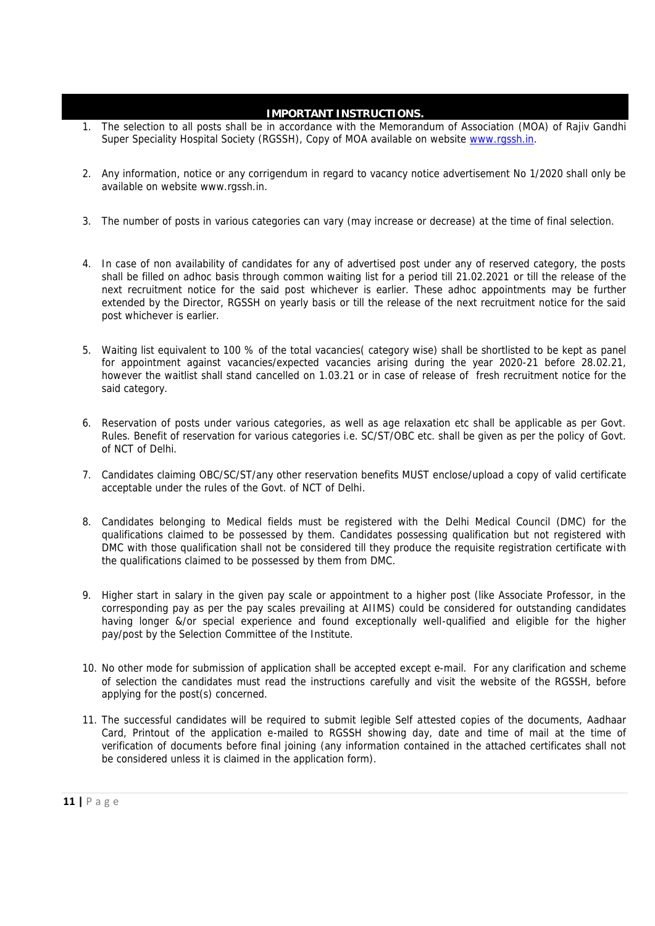#### **IMPORTANT INSTRUCTIONS.**

- 1. The selection to all posts shall be in accordance with the Memorandum of Association (MOA) of Rajiv Gandhi Super Speciality Hospital Society (RGSSH), Copy of MOA available on website www.rgssh.in.
- 2. Any information, notice or any corrigendum in regard to vacancy notice advertisement No 1/2020 shall only be available on website www.rgssh.in.
- 3. The number of posts in various categories can vary (may increase or decrease) at the time of final selection.
- 4. In case of non availability of candidates for any of advertised post under any of reserved category, the posts shall be filled on adhoc basis through common waiting list for a period till 21.02.2021 or till the release of the next recruitment notice for the said post whichever is earlier. These adhoc appointments may be further extended by the Director, RGSSH on yearly basis or till the release of the next recruitment notice for the said post whichever is earlier.
- 5. Waiting list equivalent to 100 % of the total vacancies( category wise) shall be shortlisted to be kept as panel for appointment against vacancies/expected vacancies arising during the year 2020-21 before 28.02.21, however the waitlist shall stand cancelled on 1.03.21 or in case of release of fresh recruitment notice for the said category.
- 6. Reservation of posts under various categories, as well as age relaxation etc shall be applicable as per Govt. Rules. Benefit of reservation for various categories i.e. SC/ST/OBC etc. shall be given as per the policy of Govt. of NCT of Delhi.
- 7. Candidates claiming OBC/SC/ST/any other reservation benefits MUST enclose/upload a copy of valid certificate acceptable under the rules of the Govt. of NCT of Delhi.
- 8. Candidates belonging to Medical fields must be registered with the Delhi Medical Council (DMC) for the qualifications claimed to be possessed by them. Candidates possessing qualification but not registered with DMC with those qualification shall not be considered till they produce the requisite registration certificate with the qualifications claimed to be possessed by them from DMC.
- 9. Higher start in salary in the given pay scale or appointment to a higher post (like Associate Professor, in the corresponding pay as per the pay scales prevailing at AIIMS) could be considered for outstanding candidates having longer &/or special experience and found exceptionally well-qualified and eligible for the higher pay/post by the Selection Committee of the Institute.
- 10. No other mode for submission of application shall be accepted except e-mail. For any clarification and scheme of selection the candidates must read the instructions carefully and visit the website of the RGSSH, before applying for the post(s) concerned.
- Card, Printout of the a<br>verification of documen<br>be considered unless it<br>11 | P a g e 11. The successful candidates will be required to submit legible Self attested copies of the documents, Aadhaar Card, Printout of the application e-mailed to RGSSH showing day, date and time of mail at the time of verification of documents before final joining (any information contained in the attached certificates shall not be considered unless it is claimed in the application form).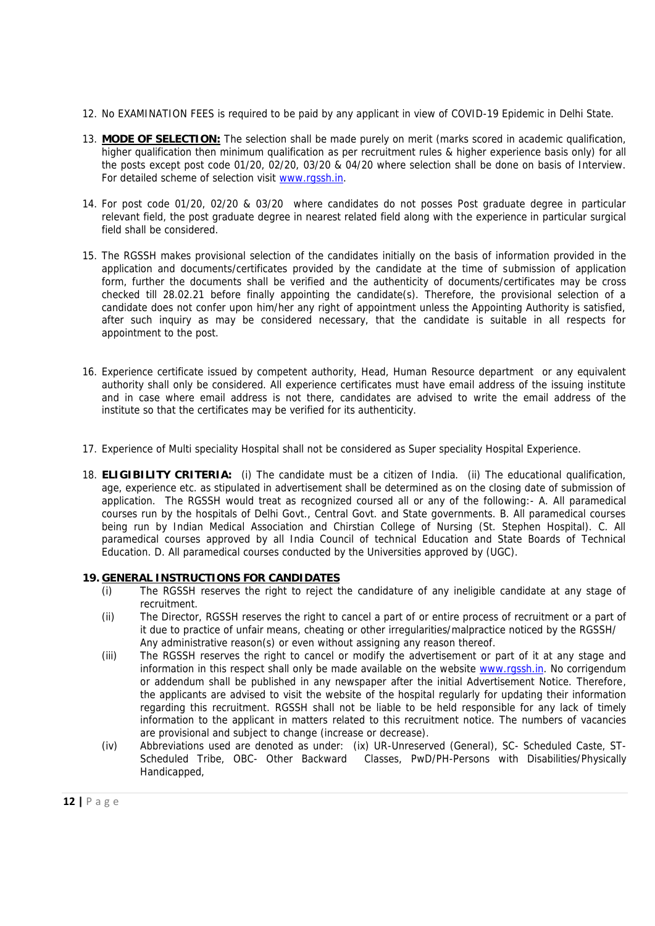- 12. No EXAMINATION FEES is required to be paid by any applicant in view of COVID-19 Epidemic in Delhi State.
- 13. **MODE OF SELECTION:** The selection shall be made purely on merit (marks scored in academic qualification, higher qualification then minimum qualification as per recruitment rules & higher experience basis only) for all the posts except post code 01/20, 02/20, 03/20 & 04/20 where selection shall be done on basis of Interview. For detailed scheme of selection visit www.rgssh.in.
- 14. For post code 01/20, 02/20 & 03/20 where candidates do not posses Post graduate degree in particular relevant field, the post graduate degree in nearest related field along with the experience in particular surgical field shall be considered.
- 15. The RGSSH makes provisional selection of the candidates initially on the basis of information provided in the application and documents/certificates provided by the candidate at the time of submission of application form, further the documents shall be verified and the authenticity of documents/certificates may be cross checked till 28.02.21 before finally appointing the candidate(s). Therefore, the provisional selection of a candidate does not confer upon him/her any right of appointment unless the Appointing Authority is satisfied, after such inquiry as may be considered necessary, that the candidate is suitable in all respects for appointment to the post.
- 16. Experience certificate issued by competent authority, Head, Human Resource department or any equivalent authority shall only be considered. All experience certificates must have email address of the issuing institute and in case where email address is not there, candidates are advised to write the email address of the institute so that the certificates may be verified for its authenticity.
- 17. Experience of Multi speciality Hospital shall not be considered as Super speciality Hospital Experience.
- 18. **ELIGIBILITY CRITERIA:** (i) The candidate must be a citizen of India. (ii) The educational qualification, age, experience etc. as stipulated in advertisement shall be determined as on the closing date of submission of application. The RGSSH would treat as recognized coursed all or any of the following:- A. All paramedical courses run by the hospitals of Delhi Govt., Central Govt. and State governments. B. All paramedical courses being run by Indian Medical Association and Chirstian College of Nursing (St. Stephen Hospital). C. All paramedical courses approved by all India Council of technical Education and State Boards of Technical Education. D. All paramedical courses conducted by the Universities approved by (UGC).

#### **19. GENERAL INSTRUCTIONS FOR CANDIDATES**

- (i) The RGSSH reserves the right to reject the candidature of any ineligible candidate at any stage of recruitment.
- (ii) The Director, RGSSH reserves the right to cancel a part of or entire process of recruitment or a part of it due to practice of unfair means, cheating or other irregularities/malpractice noticed by the RGSSH/ Any administrative reason(s) or even without assigning any reason thereof.
- (iii) The RGSSH reserves the right to cancel or modify the advertisement or part of it at any stage and information in this respect shall only be made available on the website www.rgssh.in. No corrigendum or addendum shall be published in any newspaper after the initial Advertisement Notice. Therefore, the applicants are advised to visit the website of the hospital regularly for updating their information regarding this recruitment. RGSSH shall not be liable to be held responsible for any lack of timely information to the applicant in matters related to this recruitment notice. The numbers of vacancies are provisional and subject to change (increase or decrease).
- **12** are provisional a<br>
(iv) Abbreviations u<br>
Scheduled Trit<br>
Handicapped,<br> **12** | P a g e (iv) Abbreviations used are denoted as under: (ix) UR-Unreserved (General), SC- Scheduled Caste, ST- Scheduled Tribe, OBC- Other Backward Classes, PwD/PH-Persons with Disabilities/Physically Handicapped,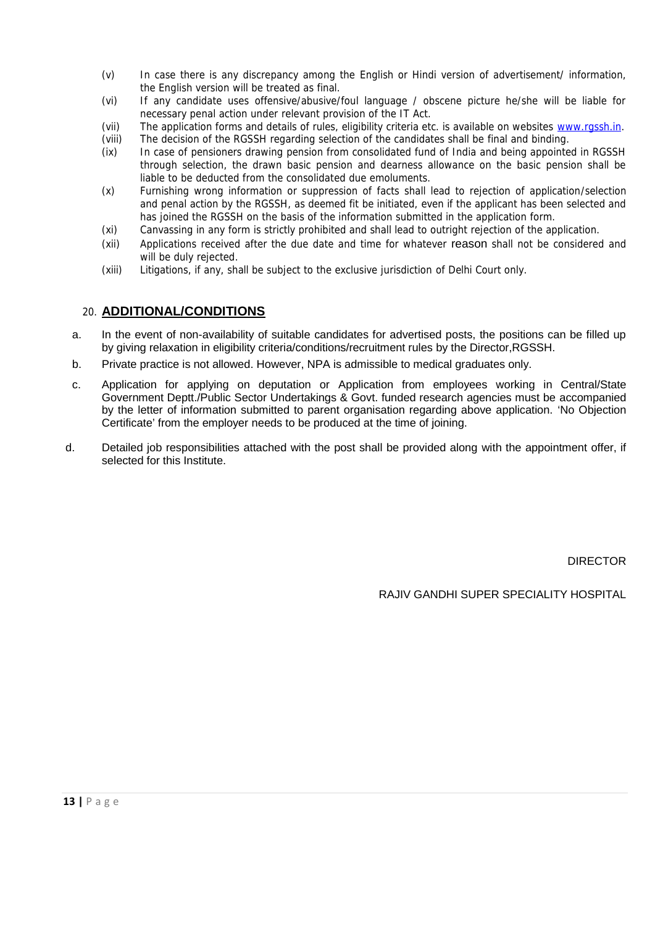- (v) In case there is any discrepancy among the English or Hindi version of advertisement/ information, the English version will be treated as final.
- (vi) If any candidate uses offensive/abusive/foul language / obscene picture he/she will be liable for necessary penal action under relevant provision of the IT Act.
- (vii) The application forms and details of rules, eligibility criteria etc. is available on websites www.rgssh.in.
- (viii) The decision of the RGSSH regarding selection of the candidates shall be final and binding.<br>(ix) In case of pensioners drawing pension from consolidated fund of India and being appointer
- In case of pensioners drawing pension from consolidated fund of India and being appointed in RGSSH through selection, the drawn basic pension and dearness allowance on the basic pension shall be liable to be deducted from the consolidated due emoluments.
- (x) Furnishing wrong information or suppression of facts shall lead to rejection of application/selection and penal action by the RGSSH, as deemed fit be initiated, even if the applicant has been selected and has joined the RGSSH on the basis of the information submitted in the application form.
- (xi) Canvassing in any form is strictly prohibited and shall lead to outright rejection of the application.
- (xii) Applications received after the due date and time for whatever reason shall not be considered and will be duly rejected.
- (xiii) Litigations, if any, shall be subject to the exclusive jurisdiction of Delhi Court only.

#### 20. **ADDITIONAL/CONDITIONS**

- a. In the event of non-availability of suitable candidates for advertised posts, the positions can be filled up by giving relaxation in eligibility criteria/conditions/recruitment rules by the Director,RGSSH.
- b. Private practice is not allowed. However, NPA is admissible to medical graduates only.
- c. Application for applying on deputation or Application from employees working in Central/State Government Deptt./Public Sector Undertakings & Govt. funded research agencies must be accompanied by the letter of information submitted to parent organisation regarding above application. 'No Objection Certificate' from the employer needs to be produced at the time of joining.
- d. Detailed job responsibilities attached with the post shall be provided along with the appointment offer, if selected for this Institute.

DIRECTOR

RAJIV GANDHI SUPER SPECIALITY HOSPITAL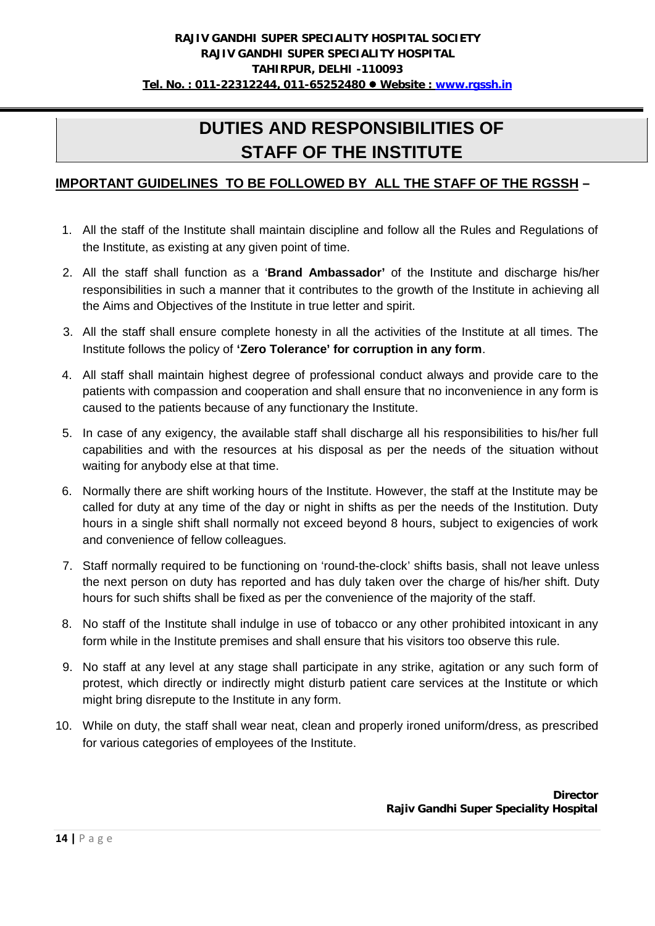# **DUTIES AND RESPONSIBILITIES OF STAFF OF THE INSTITUTE**

#### **IMPORTANT GUIDELINES TO BE FOLLOWED BY ALL THE STAFF OF THE RGSSH –**

- 1. All the staff of the Institute shall maintain discipline and follow all the Rules and Regulations of the Institute, as existing at any given point of time.
- 2. All the staff shall function as a '**Brand Ambassador'** of the Institute and discharge his/her responsibilities in such a manner that it contributes to the growth of the Institute in achieving all the Aims and Objectives of the Institute in true letter and spirit.
- 3. All the staff shall ensure complete honesty in all the activities of the Institute at all times. The Institute follows the policy of **'Zero Tolerance' for corruption in any form**.
- 4. All staff shall maintain highest degree of professional conduct always and provide care to the patients with compassion and cooperation and shall ensure that no inconvenience in any form is caused to the patients because of any functionary the Institute.
- 5. In case of any exigency, the available staff shall discharge all his responsibilities to his/her full capabilities and with the resources at his disposal as per the needs of the situation without waiting for anybody else at that time.
- 6. Normally there are shift working hours of the Institute. However, the staff at the Institute may be called for duty at any time of the day or night in shifts as per the needs of the Institution. Duty hours in a single shift shall normally not exceed beyond 8 hours, subject to exigencies of work and convenience of fellow colleagues.
- 7. Staff normally required to be functioning on 'round-the-clock' shifts basis, shall not leave unless the next person on duty has reported and has duly taken over the charge of his/her shift. Duty hours for such shifts shall be fixed as per the convenience of the majority of the staff.
- 8. No staff of the Institute shall indulge in use of tobacco or any other prohibited intoxicant in any form while in the Institute premises and shall ensure that his visitors too observe this rule.
- 9. No staff at any level at any stage shall participate in any strike, agitation or any such form of protest, which directly or indirectly might disturb patient care services at the Institute or which might bring disrepute to the Institute in any form.
- 10. While on duty, the staff shall wear neat, clean and properly ironed uniform/dress, as prescribed for various categories of employees of the Institute.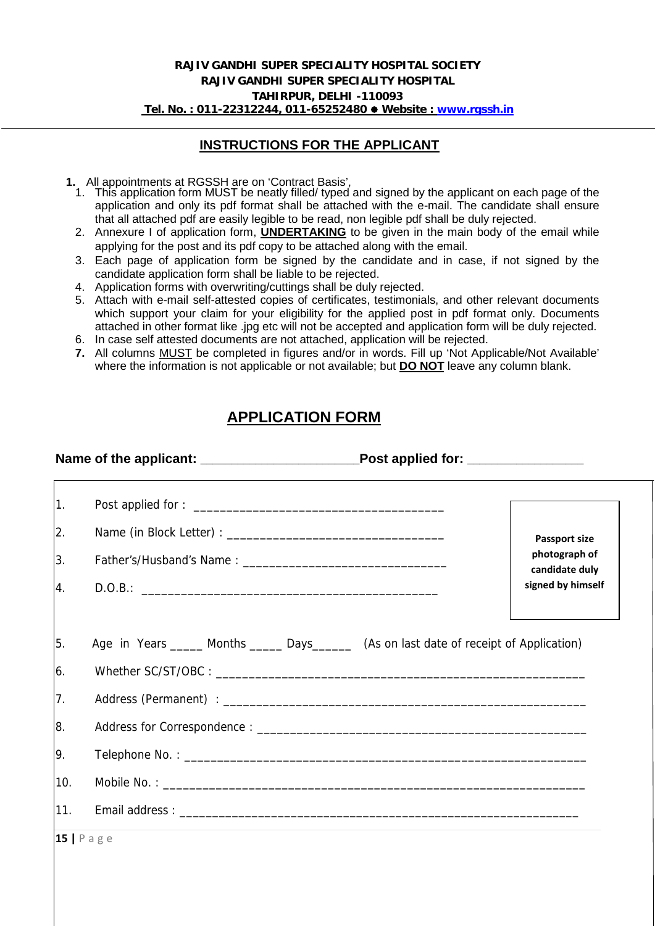#### **INSTRUCTIONS FOR THE APPLICANT**

- **1.** All appointments at RGSSH are on 'Contract Basis',
	- 1. This application form MUST be neatly filled/ typed and signed by the applicant on each page of the application and only its pdf format shall be attached with the e-mail. The candidate shall ensure that all attached pdf are easily legible to be read, non legible pdf shall be duly rejected.
	- 2. Annexure I of application form, **UNDERTAKING** to be given in the main body of the email while applying for the post and its pdf copy to be attached along with the email.
	- 3. Each page of application form be signed by the candidate and in case, if not signed by the candidate application form shall be liable to be rejected.
	- 4. Application forms with overwriting/cuttings shall be duly rejected.
	- 5. Attach with e-mail self-attested copies of certificates, testimonials, and other relevant documents which support your claim for your eligibility for the applied post in pdf format only. Documents attached in other format like .jpg etc will not be accepted and application form will be duly rejected.
	- 6. In case self attested documents are not attached, application will be rejected.
	- **7.** All columns MUST be completed in figures and/or in words. Fill up 'Not Applicable/Not Available' where the information is not applicable or not available; but **DO NOT** leave any column blank.

# **APPLICATION FORM**

| $ 1\rangle$                               |                                                                                           |
|-------------------------------------------|-------------------------------------------------------------------------------------------|
| 2.                                        | <b>Passport size</b>                                                                      |
| 3.                                        | photograph of<br>candidate duly                                                           |
| 4.                                        | signed by himself                                                                         |
|                                           |                                                                                           |
|                                           |                                                                                           |
|                                           | Age in Years ______ Months ______ Days_______ (As on last date of receipt of Application) |
|                                           |                                                                                           |
|                                           |                                                                                           |
|                                           |                                                                                           |
|                                           |                                                                                           |
| 5.<br>6.<br>7.<br><u>8.</u><br>19.<br>10. |                                                                                           |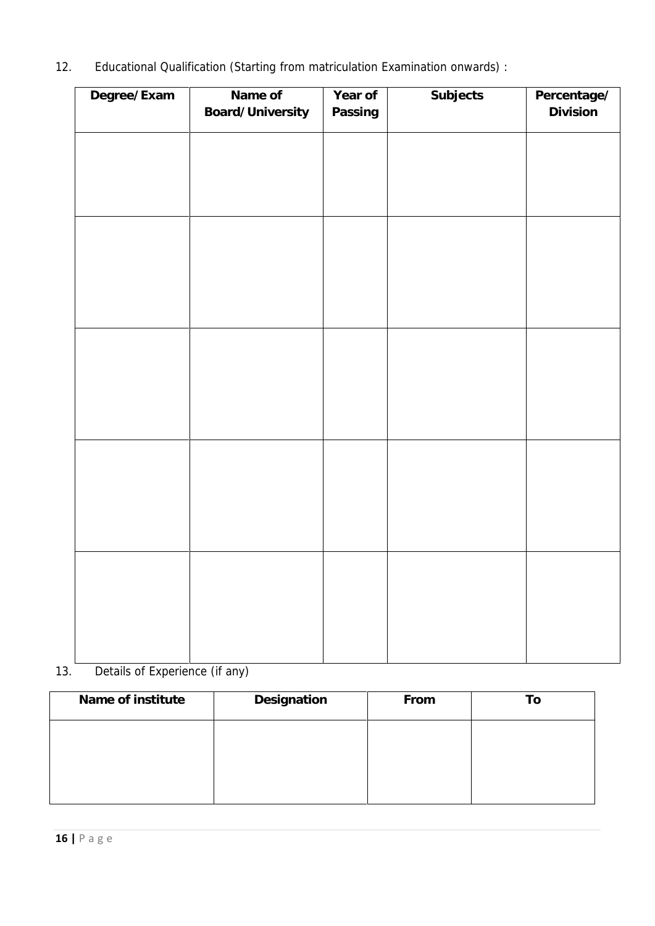12. Educational Qualification (Starting from matriculation Examination onwards) :

| Degree/Exam | Name of          | Year of | Subjects | Percentage/ |
|-------------|------------------|---------|----------|-------------|
|             | Board/University | Passing |          | Division    |
|             |                  |         |          |             |
|             |                  |         |          |             |
|             |                  |         |          |             |
|             |                  |         |          |             |
|             |                  |         |          |             |
|             |                  |         |          |             |
|             |                  |         |          |             |
|             |                  |         |          |             |
|             |                  |         |          |             |
|             |                  |         |          |             |
|             |                  |         |          |             |
|             |                  |         |          |             |
|             |                  |         |          |             |
|             |                  |         |          |             |
|             |                  |         |          |             |
|             |                  |         |          |             |
|             |                  |         |          |             |
|             |                  |         |          |             |
|             |                  |         |          |             |
|             |                  |         |          |             |
|             |                  |         |          |             |
|             |                  |         |          |             |
|             |                  |         |          |             |
|             |                  |         |          |             |
|             |                  |         |          |             |
|             |                  |         |          |             |

# 13. Details of Experience (if any)

| Name of institute | Designation | From | To |
|-------------------|-------------|------|----|
|                   |             |      |    |
|                   |             |      |    |
|                   |             |      |    |
|                   |             |      |    |
| $16$   Page       |             |      |    |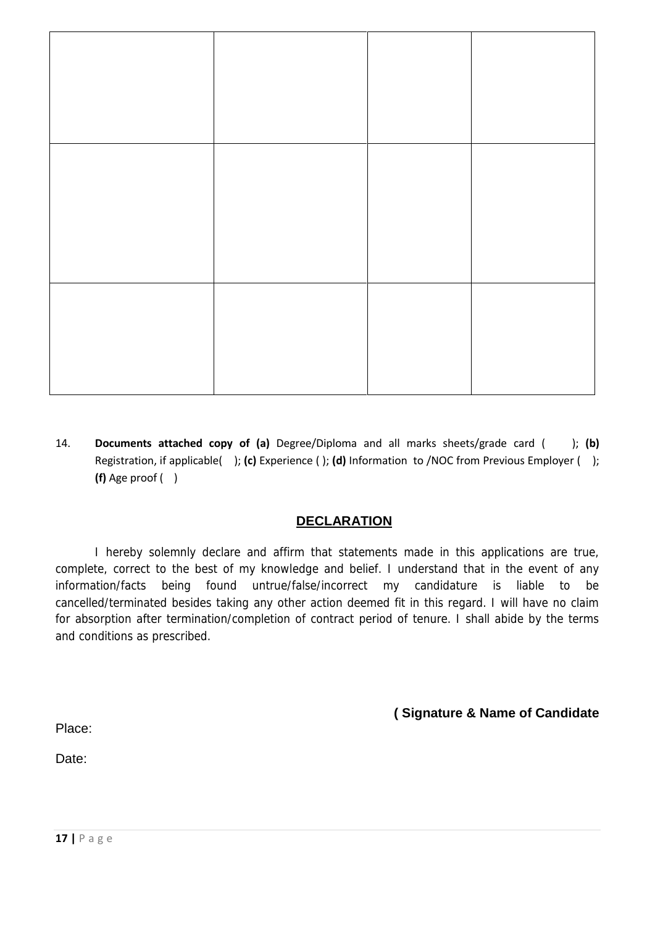14. **Documents attached copy of (a)** Degree/Diploma and all marks sheets/grade card ( ); **(b)** Registration, if applicable( ); **(c)** Experience ( ); **(d)** Information to /NOC from Previous Employer ( ); **(f)** Age proof ( )

### **DECLARATION**

I hereby solemnly declare and affirm that statements made in this applications are true, complete, correct to the best of my knowledge and belief. I understand that in the event of any information/facts being found untrue/false/incorrect my candidature is liable to be cancelled/terminated besides taking any other action deemed fit in this regard. I will have no claim for absorption after termination/completion of contract period of tenure. I shall abide by the terms and conditions as prescribed.

**( Signature & Name of Candidate**

Place:

Date: